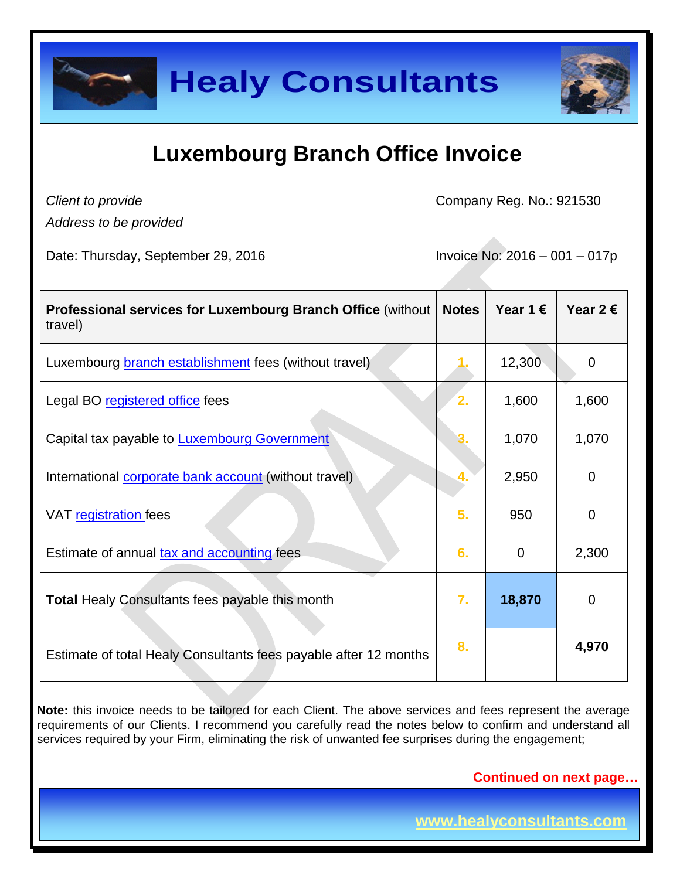

## **Luxembourg Branch Office Invoice**

*Client to provide*

Company Reg. No.: 921530

*Address to be provided*

Date: Thursday, September 29, 2016 **Invoice No: 2016 – 001 – 017p** 

| <b>Professional services for Luxembourg Branch Office (without)</b><br>travel) | <b>Notes</b> | Year 1 $\epsilon$ | Year 2 $\epsilon$ |
|--------------------------------------------------------------------------------|--------------|-------------------|-------------------|
| Luxembourg <b>branch establishment</b> fees (without travel)                   |              | 12,300            | $\mathbf 0$       |
| Legal BO registered office fees                                                | 2.           | 1,600             | 1,600             |
| Capital tax payable to <b>Luxembourg Government</b>                            |              | 1,070             | 1,070             |
| International corporate bank account (without travel)                          |              | 2,950             | $\mathbf 0$       |
| VAT registration fees                                                          | 5.           | 950               | 0                 |
| Estimate of annual tax and accounting fees                                     | 6.           | $\Omega$          | 2,300             |
| <b>Total Healy Consultants fees payable this month</b>                         | 7.           | 18,870            | 0                 |
| Estimate of total Healy Consultants fees payable after 12 months               | 8.           |                   | 4,970             |

**Note:** this invoice needs to be tailored for each Client. The above services and fees represent the average requirements of our Clients. I recommend you carefully read the notes below to confirm and understand all services required by your Firm, eliminating the risk of unwanted fee surprises during the engagement;

 **Continued on next page…**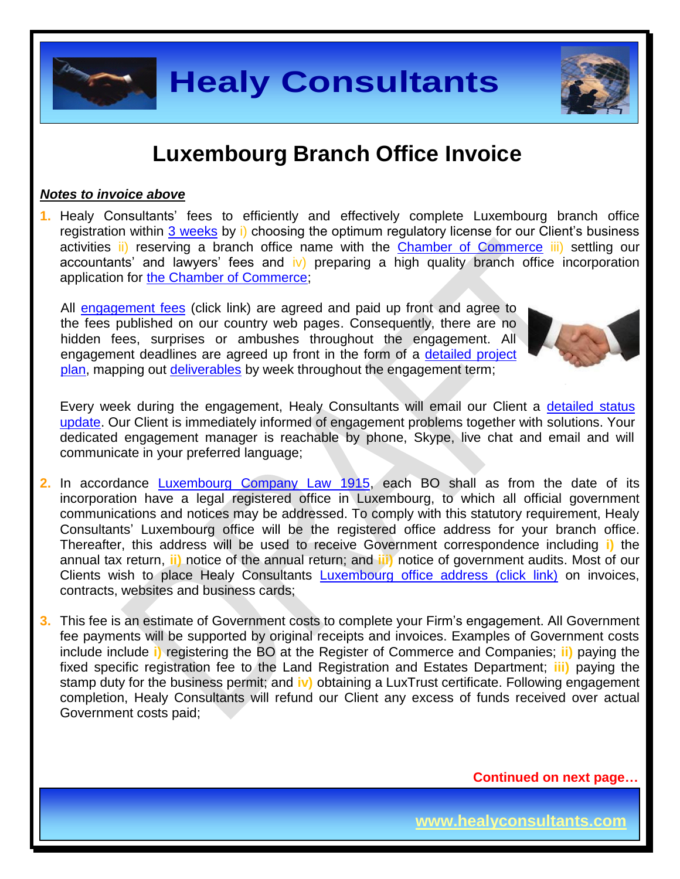### **Luxembourg Branch Office Invoice**

#### *Notes to invoice above*

**1.** Healy Consultants' fees to efficiently and effectively complete Luxembourg branch office registration within [3 weeks](http://www.healyconsultants.com/luxembourg-company-registration/fees-timelines/#timelines) by i) choosing the optimum regulatory license for our Client's business activities ii) reserving a branch office name with the [Chamber of Commerce](http://www.guichet.public.lu/entreprises/en/creation-developpement/forme-juridique/societe-capitaux/sa/index.html) iii) settling our accountants' and lawyers' fees and  $\mathbf{v}$  preparing a high quality branch office incorporation application for [the Chamber of Commerce;](http://www.guichet.public.lu/entreprises/en/creation-developpement/forme-juridique/societe-capitaux/sa/index.html)

All [engagement fees](http://www.healyconsultants.com/company-registration-fees/) (click link) are agreed and paid up front and agree to the fees published on our country web pages. Consequently, there are no hidden fees, surprises or ambushes throughout the engagement. All engagement deadlines are agreed up front in the form of a [detailed project](http://www.healyconsultants.com/index-important-links/example-project-plan/)  [plan,](http://www.healyconsultants.com/index-important-links/example-project-plan/) mapping out [deliverables](http://www.healyconsultants.com/deliverables-to-our-clients/) by week throughout the engagement term;

Every week during the engagement, Healy Consultants will email our Client a detailed status [update.](http://www.healyconsultants.com/index-important-links/weekly-engagement-status-email/) Our Client is immediately informed of engagement problems together with solutions. Your dedicated engagement manager is reachable by phone, Skype, live chat and email and will communicate in your preferred language;

- **2.** In accordance [Luxembourg Company Law 1915,](http://www.ehp.lu/uploads/media/Law_of_10th_August_1915_updated_August_2011.pdf) each BO shall as from the date of its incorporation have a legal registered office in Luxembourg, to which all official government communications and notices may be addressed. To comply with this statutory requirement, Healy Consultants' Luxembourg office will be the registered office address for your branch office. Thereafter, this address will be used to receive Government correspondence including **i)** the annual tax return, **ii)** notice of the annual return; and **iii)** notice of government audits. Most of our Clients wish to place Healy Consultants [Luxembourg office address \(click link\)](http://www.healyconsultants.com/virtual-office/) on invoices, contracts, websites and business cards;
- **3.** This fee is an estimate of Government costs to complete your Firm's engagement. All Government fee payments will be supported by original receipts and invoices. Examples of Government costs include include **i)** registering the BO at the Register of Commerce and Companies; **ii)** paying the fixed specific registration fee to the Land Registration and Estates Department; **iii)** paying the stamp duty for the business permit; and **iv)** obtaining a LuxTrust certificate. Following engagement completion, Healy Consultants will refund our Client any excess of funds received over actual Government costs paid;

 **Continued on next page…**





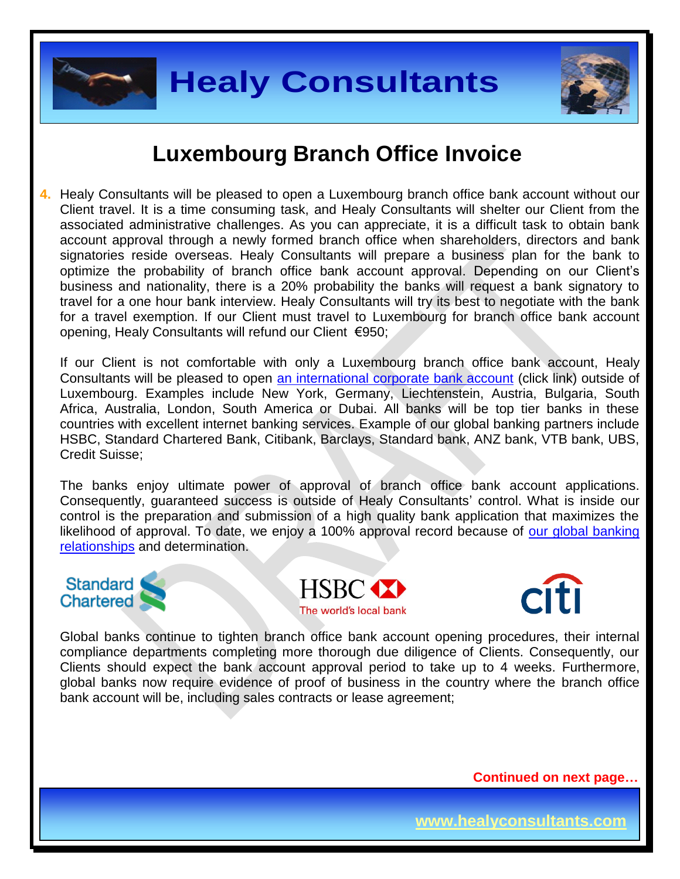



### **Luxembourg Branch Office Invoice**

**4.** Healy Consultants will be pleased to open a Luxembourg branch office bank account without our Client travel. It is a time consuming task, and Healy Consultants will shelter our Client from the associated administrative challenges. As you can appreciate, it is a difficult task to obtain bank account approval through a newly formed branch office when shareholders, directors and bank signatories reside overseas. Healy Consultants will prepare a business plan for the bank to optimize the probability of branch office bank account approval. Depending on our Client's business and nationality, there is a 20% probability the banks will request a bank signatory to travel for a one hour bank interview. Healy Consultants will try its best to negotiate with the bank for a travel exemption. If our Client must travel to Luxembourg for branch office bank account opening, Healy Consultants will refund our Client €950;

If our Client is not comfortable with only a Luxembourg branch office bank account, Healy Consultants will be pleased to open [an international corporate bank account](http://www.healyconsultants.com/international-banking/) (click link) outside of Luxembourg. Examples include New York, Germany, Liechtenstein, Austria, Bulgaria, South Africa, Australia, London, South America or Dubai. All banks will be top tier banks in these countries with excellent internet banking services. Example of our global banking partners include HSBC, Standard Chartered Bank, Citibank, Barclays, Standard bank, ANZ bank, VTB bank, UBS, Credit Suisse;

The banks enjoy ultimate power of approval of branch office bank account applications. Consequently, guaranteed success is outside of Healy Consultants' control. What is inside our control is the preparation and submission of a high quality bank application that maximizes the likelihood of approval. To date, we enjoy a 100% approval record because of our global banking [relationships](http://www.healyconsultants.com/international-banking/corporate-accounts/) and determination.







Global banks continue to tighten branch office bank account opening procedures, their internal compliance departments completing more thorough due diligence of Clients. Consequently, our Clients should expect the bank account approval period to take up to 4 weeks. Furthermore, global banks now require evidence of proof of business in the country where the branch office bank account will be, including sales contracts or lease agreement;

 **Continued on next page…**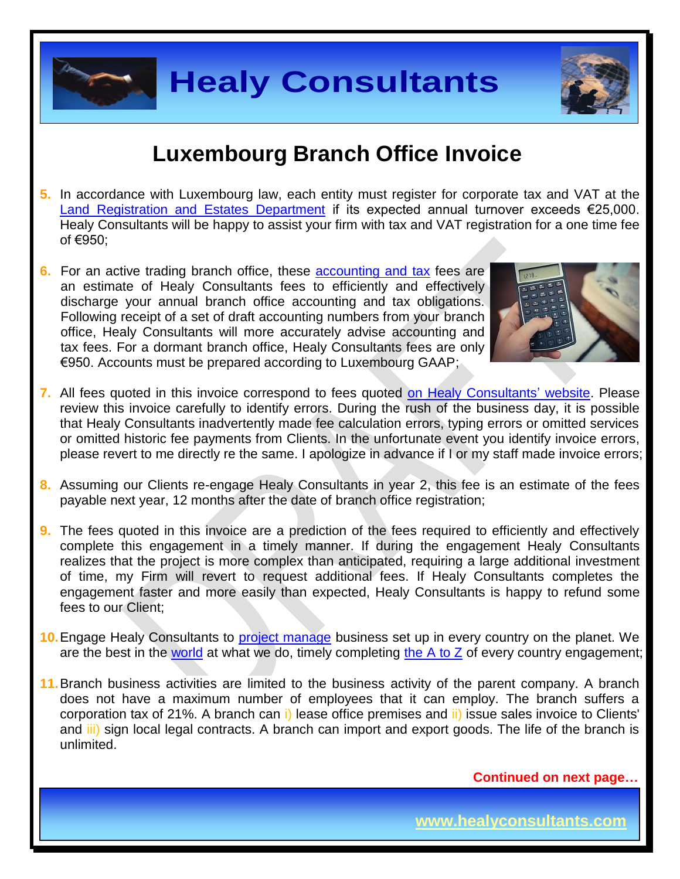

## **Luxembourg Branch Office Invoice**

- **5.** In accordance with Luxembourg law, each entity must register for corporate tax and VAT at the [Land Registration and Estates Department](http://www.aed.public.lu/enregistrement/index.html) if its expected annual turnover exceeds €25,000. Healy Consultants will be happy to assist your firm with tax and VAT registration for a one time fee of €950;
- **6.** For an active trading branch office, these [accounting and tax](http://www.healyconsultants.com/luxembourg-company-registration/accounting-legal/) fees are an estimate of Healy Consultants fees to efficiently and effectively discharge your annual branch office accounting and tax obligations. Following receipt of a set of draft accounting numbers from your branch office, Healy Consultants will more accurately advise accounting and tax fees. For a dormant branch office, Healy Consultants fees are only €950. Accounts must be prepared according to Luxembourg GAAP;



- **7.** All fees quoted in this invoice correspond to fees quoted [on Healy Consultants' website.](http://www.healyconsultants.com/company-registration-fees/) Please review this invoice carefully to identify errors. During the rush of the business day, it is possible that Healy Consultants inadvertently made fee calculation errors, typing errors or omitted services or omitted historic fee payments from Clients. In the unfortunate event you identify invoice errors, please revert to me directly re the same. I apologize in advance if I or my staff made invoice errors;
- **8.** Assuming our Clients re-engage Healy Consultants in year 2, this fee is an estimate of the fees payable next year, 12 months after the date of branch office registration;
- **9.** The fees quoted in this invoice are a prediction of the fees required to efficiently and effectively complete this engagement in a timely manner. If during the engagement Healy Consultants realizes that the project is more complex than anticipated, requiring a large additional investment of time, my Firm will revert to request additional fees. If Healy Consultants completes the engagement faster and more easily than expected, Healy Consultants is happy to refund some fees to our Client;
- **10.**Engage Healy Consultants to [project manage](http://www.healyconsultants.com/project-manage-engagements/) business set up in every country on the planet. We are the best in the [world](http://www.healyconsultants.com/best-in-the-world/) at what we do, timely completing the  $A$  to  $Z$  of every country engagement;
- **11.**Branch business activities are limited to the business activity of the parent company. A branch does not have a maximum number of employees that it can employ. The branch suffers a corporation tax of 21%. A branch can i) lease office premises and ii) issue sales invoice to Clients' and iii) sign local legal contracts. A branch can import and export goods. The life of the branch is unlimited.

 **Continued on next page…**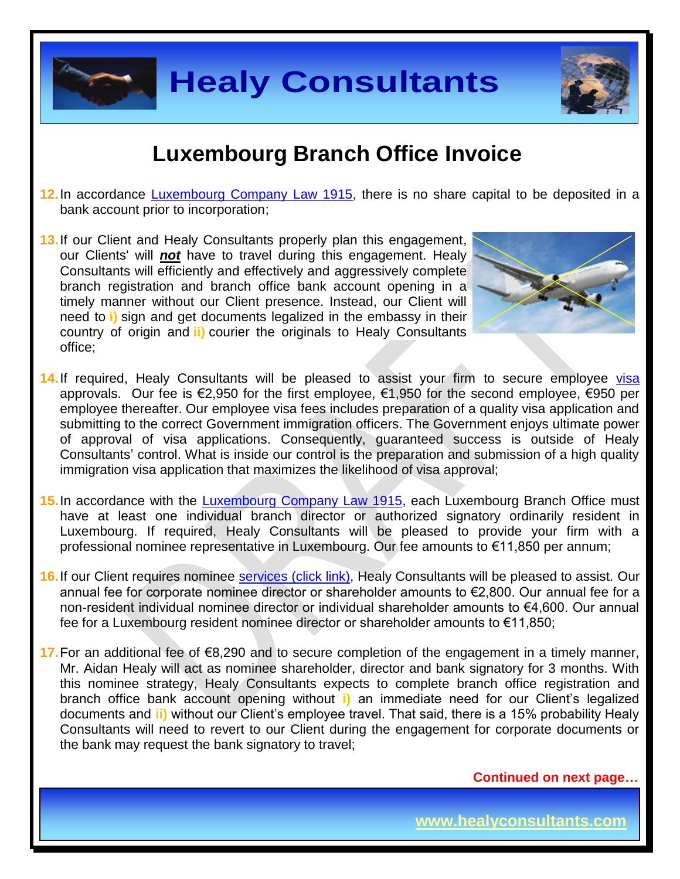

## **Luxembourg Branch Office Invoice**

- **12.**In accordance [Luxembourg Company Law 1915,](http://www.ehp.lu/uploads/media/Law_of_10th_August_1915_updated_August_2011.pdf) there is no share capital to be deposited in a bank account prior to incorporation;
- **13.**If our Client and Healy Consultants properly plan this engagement, our Clients' will *not* have to travel during this engagement. Healy Consultants will efficiently and effectively and aggressively complete branch registration and branch office bank account opening in a timely manner without our Client presence. Instead, our Client will need to **i)** sign and get documents legalized in the embassy in their country of origin and **ii)** courier the originals to Healy Consultants office;



- 14. If required, Healy Consultants will be pleased to assist your firm to secure employee [visa](http://www.healyconsultants.com/luxembourg-company-registration/formation-support-services/) approvals. Our fee is €2,950 for the first employee, €1,950 for the second employee, €950 per employee thereafter. Our employee visa fees includes preparation of a quality visa application and submitting to the correct Government immigration officers. The Government enjoys ultimate power of approval of visa applications. Consequently, guaranteed success is outside of Healy Consultants' control. What is inside our control is the preparation and submission of a high quality immigration visa application that maximizes the likelihood of visa approval;
- **15.**In accordance with the [Luxembourg Company Law 1915,](http://www.ehp.lu/uploads/media/Law_of_10th_August_1915_updated_August_2011.pdf) each Luxembourg Branch Office must have at least one individual branch director or authorized signatory ordinarily resident in Luxembourg. If required, Healy Consultants will be pleased to provide your firm with a professional nominee representative in Luxembourg. Our fee amounts to €11,850 per annum;
- **16.** If our Client requires nominee services [\(click link\),](http://www.healyconsultants.com/corporate-outsourcing-services/nominee-shareholders-directors/) Healy Consultants will be pleased to assist. Our annual fee for corporate nominee director or shareholder amounts to €2,800. Our annual fee for a non-resident individual nominee director or individual shareholder amounts to €4,600. Our annual fee for a Luxembourg resident nominee director or shareholder amounts to €11,850;
- **17.**For an additional fee of €8,290 and to secure completion of the engagement in a timely manner, Mr. Aidan Healy will act as nominee shareholder, director and bank signatory for 3 months. With this nominee strategy, Healy Consultants expects to complete branch office registration and branch office bank account opening without **i)** an immediate need for our Client's legalized documents and **ii)** without our Client's employee travel. That said, there is a 15% probability Healy Consultants will need to revert to our Client during the engagement for corporate documents or the bank may request the bank signatory to travel;

 **Continued on next page…**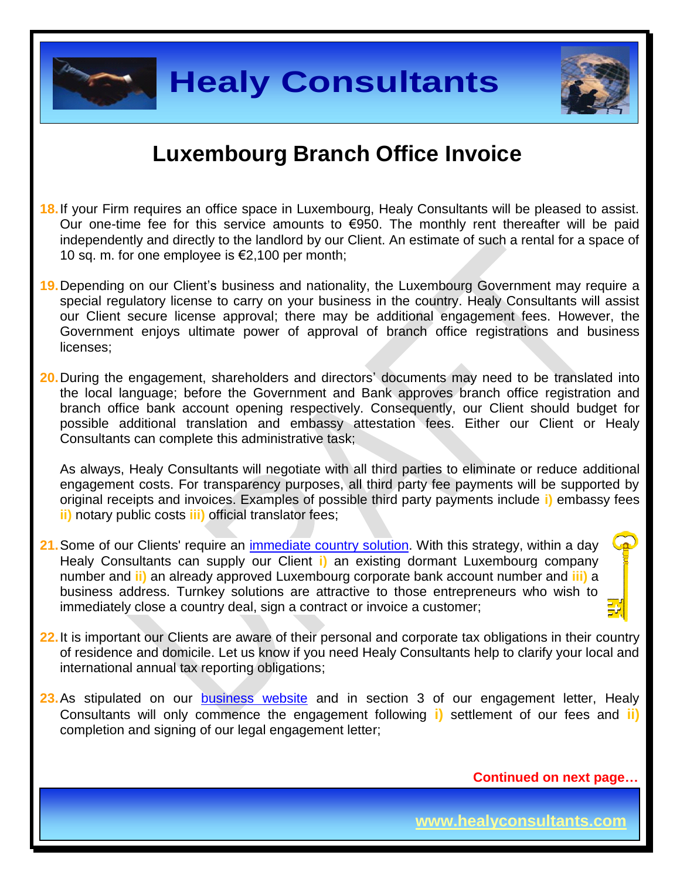

## **Luxembourg Branch Office Invoice**

- **18.**If your Firm requires an office space in Luxembourg, Healy Consultants will be pleased to assist. Our one-time fee for this service amounts to  $\epsilon$ 950. The monthly rent thereafter will be paid independently and directly to the landlord by our Client. An estimate of such a rental for a space of 10 sq. m. for one employee is €2,100 per month;
- **19.**Depending on our Client's business and nationality, the Luxembourg Government may require a special regulatory license to carry on your business in the country. Healy Consultants will assist our Client secure license approval; there may be additional engagement fees. However, the Government enjoys ultimate power of approval of branch office registrations and business licenses;
- **20.**During the engagement, shareholders and directors' documents may need to be translated into the local language; before the Government and Bank approves branch office registration and branch office bank account opening respectively. Consequently, our Client should budget for possible additional translation and embassy attestation fees. Either our Client or Healy Consultants can complete this administrative task;

As always, Healy Consultants will negotiate with all third parties to eliminate or reduce additional engagement costs. For transparency purposes, all third party fee payments will be supported by original receipts and invoices. Examples of possible third party payments include **i)** embassy fees **ii)** notary public costs **iii)** official translator fees;

- **21.**Some of our Clients' require an [immediate country](http://www.healyconsultants.com/turnkey-solutions/) solution. With this strategy, within a day Healy Consultants can supply our Client **i)** an existing dormant Luxembourg company number and **ii)** an already approved Luxembourg corporate bank account number and **iii)** a business address. Turnkey solutions are attractive to those entrepreneurs who wish to immediately close a country deal, sign a contract or invoice a customer;
- **22.**It is important our Clients are aware of their personal and corporate tax obligations in their country of residence and domicile. Let us know if you need Healy Consultants help to clarify your local and international annual tax reporting obligations;
- 23. As stipulated on our **business** website and in section 3 of our engagement letter, Healy Consultants will only commence the engagement following **i)** settlement of our fees and **ii)** completion and signing of our legal engagement letter;

 **Continued on next page…**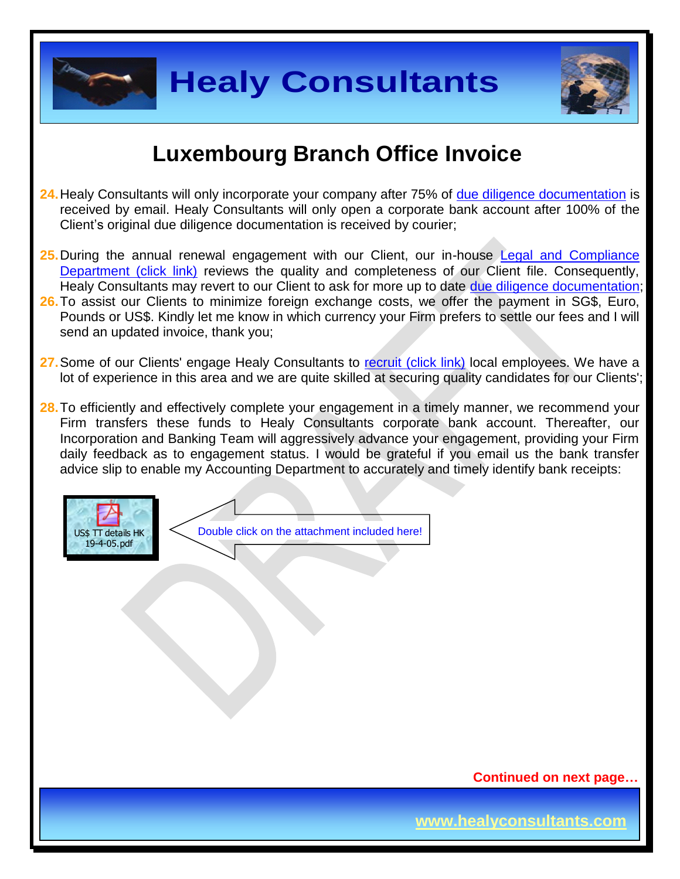



## **Luxembourg Branch Office Invoice**

- **24.**Healy Consultants will only incorporate your company after 75% of [due diligence documentation](http://www.healyconsultants.com/due-diligence/) is received by email. Healy Consultants will only open a corporate bank account after 100% of the Client's original due diligence documentation is received by courier;
- **25.**During the annual renewal engagement with our Client, our in-house [Legal and Compliance](http://www.healyconsultants.com/about-us/key-personnel/cai-xin-profile/)  [Department \(click link\)](http://www.healyconsultants.com/about-us/key-personnel/cai-xin-profile/) reviews the quality and completeness of our Client file. Consequently, Healy Consultants may revert to our Client to ask for more up to date [due diligence documentation;](http://www.healyconsultants.com/due-diligence/)
- **26.**To assist our Clients to minimize foreign exchange costs, we offer the payment in SG\$, Euro, Pounds or US\$. Kindly let me know in which currency your Firm prefers to settle our fees and I will send an updated invoice, thank you;
- 27. Some of our Clients' engage Healy Consultants to [recruit \(click link\)](http://www.healyconsultants.com/corporate-outsourcing-services/how-we-help-our-clients-recruit-quality-employees/) local employees. We have a lot of experience in this area and we are quite skilled at securing quality candidates for our Clients';
- **28.**To efficiently and effectively complete your engagement in a timely manner, we recommend your Firm transfers these funds to Healy Consultants corporate bank account. Thereafter, our Incorporation and Banking Team will aggressively advance your engagement, providing your Firm daily feedback as to engagement status. I would be grateful if you email us the bank transfer advice slip to enable my Accounting Department to accurately and timely identify bank receipts:



Double click on the attachment included here!

 **Continued on next page…**